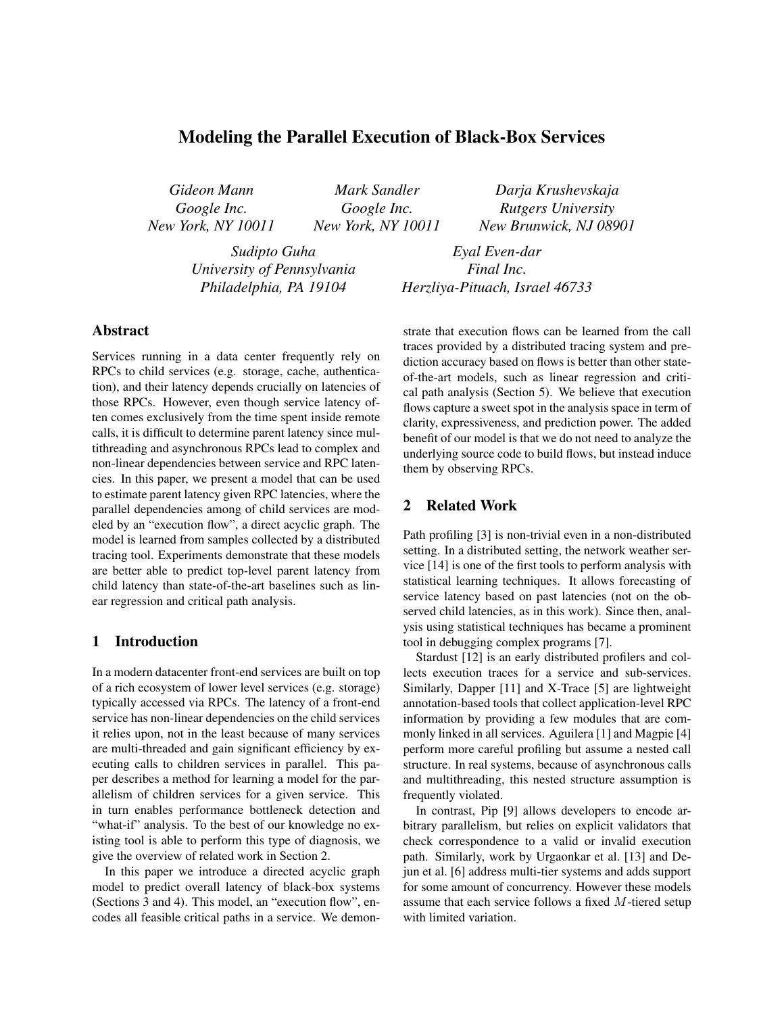# Modeling the Parallel Execution of Black-Box Services

*Gideon Mann Google Inc. New York, NY 10011*

*Mark Sandler Google Inc. New York, NY 10011*

*Sudipto Guha University of Pennsylvania Philadelphia, PA 19104*

*Darja Krushevskaja Rutgers University New Brunwick, NJ 08901*

*Eyal Even-dar Final Inc. Herzliya-Pituach, Israel 46733*

## Abstract

Services running in a data center frequently rely on RPCs to child services (e.g. storage, cache, authentication), and their latency depends crucially on latencies of those RPCs. However, even though service latency often comes exclusively from the time spent inside remote calls, it is difficult to determine parent latency since multithreading and asynchronous RPCs lead to complex and non-linear dependencies between service and RPC latencies. In this paper, we present a model that can be used to estimate parent latency given RPC latencies, where the parallel dependencies among of child services are modeled by an "execution flow", a direct acyclic graph. The model is learned from samples collected by a distributed tracing tool. Experiments demonstrate that these models are better able to predict top-level parent latency from child latency than state-of-the-art baselines such as linear regression and critical path analysis.

#### 1 Introduction

In a modern datacenter front-end services are built on top of a rich ecosystem of lower level services (e.g. storage) typically accessed via RPCs. The latency of a front-end service has non-linear dependencies on the child services it relies upon, not in the least because of many services are multi-threaded and gain significant efficiency by executing calls to children services in parallel. This paper describes a method for learning a model for the parallelism of children services for a given service. This in turn enables performance bottleneck detection and "what-if" analysis. To the best of our knowledge no existing tool is able to perform this type of diagnosis, we give the overview of related work in Section 2.

In this paper we introduce a directed acyclic graph model to predict overall latency of black-box systems (Sections 3 and 4). This model, an "execution flow", encodes all feasible critical paths in a service. We demonstrate that execution flows can be learned from the call traces provided by a distributed tracing system and prediction accuracy based on flows is better than other stateof-the-art models, such as linear regression and critical path analysis (Section 5). We believe that execution flows capture a sweet spot in the analysis space in term of clarity, expressiveness, and prediction power. The added benefit of our model is that we do not need to analyze the underlying source code to build flows, but instead induce them by observing RPCs.

## 2 Related Work

Path profiling [3] is non-trivial even in a non-distributed setting. In a distributed setting, the network weather service [14] is one of the first tools to perform analysis with statistical learning techniques. It allows forecasting of service latency based on past latencies (not on the observed child latencies, as in this work). Since then, analysis using statistical techniques has became a prominent tool in debugging complex programs [7].

Stardust [12] is an early distributed profilers and collects execution traces for a service and sub-services. Similarly, Dapper [11] and X-Trace [5] are lightweight annotation-based tools that collect application-level RPC information by providing a few modules that are commonly linked in all services. Aguilera [1] and Magpie [4] perform more careful profiling but assume a nested call structure. In real systems, because of asynchronous calls and multithreading, this nested structure assumption is frequently violated.

In contrast, Pip [9] allows developers to encode arbitrary parallelism, but relies on explicit validators that check correspondence to a valid or invalid execution path. Similarly, work by Urgaonkar et al. [13] and Dejun et al. [6] address multi-tier systems and adds support for some amount of concurrency. However these models assume that each service follows a fixed M-tiered setup with limited variation.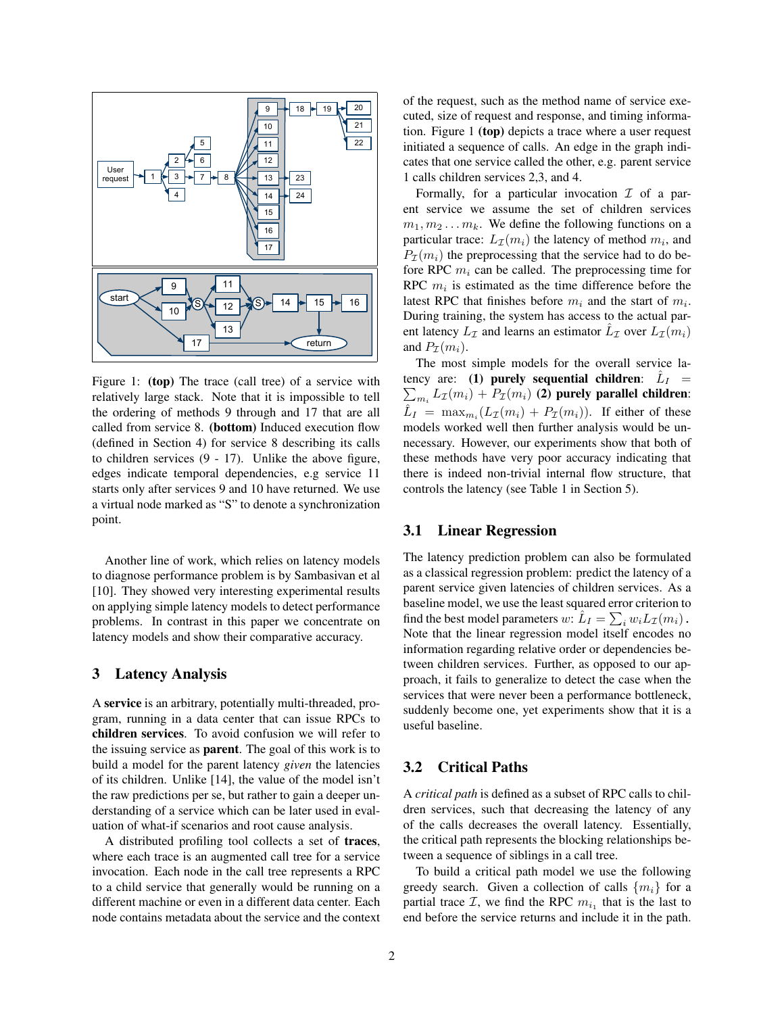

Figure 1: (top) The trace (call tree) of a service with relatively large stack. Note that it is impossible to tell the ordering of methods 9 through and 17 that are all called from service 8. (bottom) Induced execution flow (defined in Section 4) for service 8 describing its calls to children services (9 - 17). Unlike the above figure, edges indicate temporal dependencies, e.g service 11 starts only after services 9 and 10 have returned. We use a virtual node marked as "S" to denote a synchronization point.

Another line of work, which relies on latency models to diagnose performance problem is by Sambasivan et al [10]. They showed very interesting experimental results on applying simple latency models to detect performance problems. In contrast in this paper we concentrate on latency models and show their comparative accuracy.

#### 3 Latency Analysis

A service is an arbitrary, potentially multi-threaded, program, running in a data center that can issue RPCs to children services. To avoid confusion we will refer to the issuing service as parent. The goal of this work is to build a model for the parent latency *given* the latencies of its children. Unlike [14], the value of the model isn't the raw predictions per se, but rather to gain a deeper understanding of a service which can be later used in evaluation of what-if scenarios and root cause analysis.

A distributed profiling tool collects a set of traces, where each trace is an augmented call tree for a service invocation. Each node in the call tree represents a RPC to a child service that generally would be running on a different machine or even in a different data center. Each node contains metadata about the service and the context of the request, such as the method name of service executed, size of request and response, and timing information. Figure 1 (top) depicts a trace where a user request initiated a sequence of calls. An edge in the graph indicates that one service called the other, e.g. parent service 1 calls children services 2,3, and 4.

Formally, for a particular invocation  $\mathcal I$  of a parent service we assume the set of children services  $m_1, m_2 \dots m_k$ . We define the following functions on a particular trace:  $L_{\mathcal{I}}(m_i)$  the latency of method  $m_i$ , and  $P_{\mathcal{I}}(m_i)$  the preprocessing that the service had to do before RPC  $m_i$  can be called. The preprocessing time for RPC  $m_i$  is estimated as the time difference before the latest RPC that finishes before  $m_i$  and the start of  $m_i$ . During training, the system has access to the actual parent latency  $L_{\mathcal{I}}$  and learns an estimator  $\hat{L}_{\mathcal{I}}$  over  $\hat{L}_{\mathcal{I}}(m_i)$ and  $P_{\tau}(m_i)$ .

The most simple models for the overall service latency are: (1) purely sequential children:  $\hat{L}_I$  =  $\sum_{m_i} L_{\mathcal{I}}(m_i) + P_{\mathcal{I}}(m_i)$  (2) purely parallel children:  $\hat{L}_I$  =  $\max_{m_i}(L_{\mathcal{I}}(m_i) + P_{\mathcal{I}}(m_i)).$  If either of these models worked well then further analysis would be unnecessary. However, our experiments show that both of these methods have very poor accuracy indicating that there is indeed non-trivial internal flow structure, that controls the latency (see Table 1 in Section 5).

### 3.1 Linear Regression

The latency prediction problem can also be formulated as a classical regression problem: predict the latency of a parent service given latencies of children services. As a baseline model, we use the least squared error criterion to find the best model parameters  $w: \hat{L}_I = \sum_i w_i L_{\mathcal{I}}(m_i)$ . Note that the linear regression model itself encodes no information regarding relative order or dependencies between children services. Further, as opposed to our approach, it fails to generalize to detect the case when the services that were never been a performance bottleneck, suddenly become one, yet experiments show that it is a useful baseline.

### 3.2 Critical Paths

A *critical path* is defined as a subset of RPC calls to children services, such that decreasing the latency of any of the calls decreases the overall latency. Essentially, the critical path represents the blocking relationships between a sequence of siblings in a call tree.

To build a critical path model we use the following greedy search. Given a collection of calls  $\{m_i\}$  for a partial trace  $\mathcal{I}$ , we find the RPC  $m_{i_1}$  that is the last to end before the service returns and include it in the path.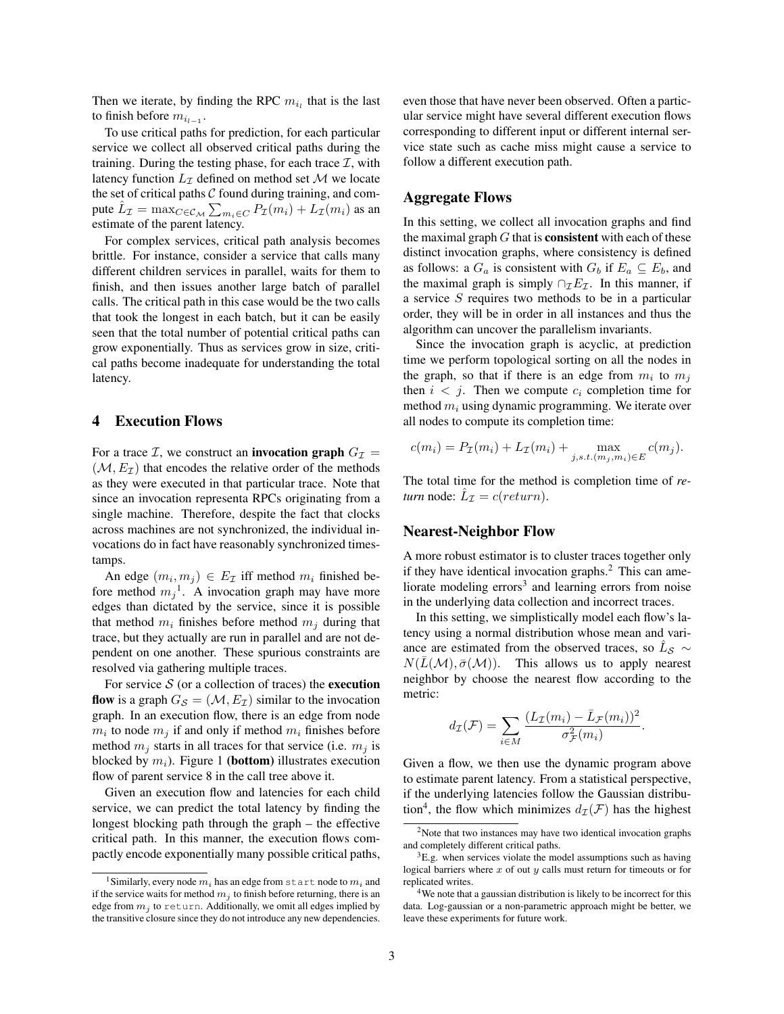Then we iterate, by finding the RPC  $m_{i_l}$  that is the last to finish before  $m_{i_{l-1}}$ .

To use critical paths for prediction, for each particular service we collect all observed critical paths during the training. During the testing phase, for each trace  $\mathcal{I}$ , with latency function  $L_{\tau}$  defined on method set M we locate the set of critical paths  $C$  found during training, and compute  $\hat{L}_{\mathcal{I}} = \max_{C \in \mathcal{C}_{\mathcal{M}}} \sum_{m_i \in C} P_{\mathcal{I}}(m_i) + \tilde{L}_{\mathcal{I}}(m_i)$  as an estimate of the parent latency.

For complex services, critical path analysis becomes brittle. For instance, consider a service that calls many different children services in parallel, waits for them to finish, and then issues another large batch of parallel calls. The critical path in this case would be the two calls that took the longest in each batch, but it can be easily seen that the total number of potential critical paths can grow exponentially. Thus as services grow in size, critical paths become inadequate for understanding the total latency.

#### 4 Execution Flows

For a trace *I*, we construct an **invocation graph**  $G_{\mathcal{I}} =$  $(\mathcal{M}, E_{\mathcal{I}})$  that encodes the relative order of the methods as they were executed in that particular trace. Note that since an invocation representa RPCs originating from a single machine. Therefore, despite the fact that clocks across machines are not synchronized, the individual invocations do in fact have reasonably synchronized timestamps.

An edge  $(m_i, m_j) \in E_{\mathcal{I}}$  iff method  $m_i$  finished before method  $m_j$ <sup>1</sup>. A invocation graph may have more edges than dictated by the service, since it is possible that method  $m_i$  finishes before method  $m_j$  during that trace, but they actually are run in parallel and are not dependent on one another. These spurious constraints are resolved via gathering multiple traces.

For service  $S$  (or a collection of traces) the **execution** flow is a graph  $G_{\mathcal{S}} = (\mathcal{M}, E_{\mathcal{I}})$  similar to the invocation graph. In an execution flow, there is an edge from node  $m_i$  to node  $m_j$  if and only if method  $m_i$  finishes before method  $m_i$  starts in all traces for that service (i.e.  $m_i$  is blocked by  $m_i$ ). Figure 1 (**bottom**) illustrates execution flow of parent service 8 in the call tree above it.

Given an execution flow and latencies for each child service, we can predict the total latency by finding the longest blocking path through the graph – the effective critical path. In this manner, the execution flows compactly encode exponentially many possible critical paths, even those that have never been observed. Often a particular service might have several different execution flows corresponding to different input or different internal service state such as cache miss might cause a service to follow a different execution path.

#### Aggregate Flows

In this setting, we collect all invocation graphs and find the maximal graph  $G$  that is **consistent** with each of these distinct invocation graphs, where consistency is defined as follows: a  $G_a$  is consistent with  $G_b$  if  $E_a \subseteq E_b$ , and the maximal graph is simply  $\cap_{\mathcal{I}} E_{\mathcal{I}}$ . In this manner, if a service S requires two methods to be in a particular order, they will be in order in all instances and thus the algorithm can uncover the parallelism invariants.

Since the invocation graph is acyclic, at prediction time we perform topological sorting on all the nodes in the graph, so that if there is an edge from  $m_i$  to  $m_j$ then  $i < j$ . Then we compute  $c_i$  completion time for method  $m_i$  using dynamic programming. We iterate over all nodes to compute its completion time:

$$
c(m_i) = P_{\mathcal{I}}(m_i) + L_{\mathcal{I}}(m_i) + \max_{j, s.t. (m_j, m_i) \in E} c(m_j).
$$

The total time for the method is completion time of *return* node:  $\hat{L}_{\mathcal{I}} = c(return)$ .

#### Nearest-Neighbor Flow

A more robust estimator is to cluster traces together only if they have identical invocation graphs. $<sup>2</sup>$  This can ame-</sup> liorate modeling errors<sup>3</sup> and learning errors from noise in the underlying data collection and incorrect traces.

In this setting, we simplistically model each flow's latency using a normal distribution whose mean and variance are estimated from the observed traces, so  $\hat{L}_{\mathcal{S}} \sim$  $N(\bar{L}(\mathcal{M}), \bar{\sigma}(\mathcal{M}))$ . This allows us to apply nearest neighbor by choose the nearest flow according to the metric:

$$
d_{\mathcal{I}}(\mathcal{F}) = \sum_{i \in M} \frac{(L_{\mathcal{I}}(m_i) - \bar{L}_{\mathcal{F}}(m_i))^2}{\sigma_{\mathcal{F}}^2(m_i)}.
$$

Given a flow, we then use the dynamic program above to estimate parent latency. From a statistical perspective, if the underlying latencies follow the Gaussian distribution<sup>4</sup>, the flow which minimizes  $d_{\mathcal{I}}(\mathcal{F})$  has the highest

<sup>&</sup>lt;sup>1</sup>Similarly, every node  $m_i$  has an edge from start node to  $m_i$  and if the service waits for method  $m_i$  to finish before returning, there is an edge from  $m_i$  to return. Additionally, we omit all edges implied by the transitive closure since they do not introduce any new dependencies.

 $2$ Note that two instances may have two identical invocation graphs and completely different critical paths.

 ${}^{3}E.g.$  when services violate the model assumptions such as having logical barriers where  $x$  of out  $y$  calls must return for timeouts or for replicated writes.

<sup>&</sup>lt;sup>4</sup>We note that a gaussian distribution is likely to be incorrect for this data. Log-gaussian or a non-parametric approach might be better, we leave these experiments for future work.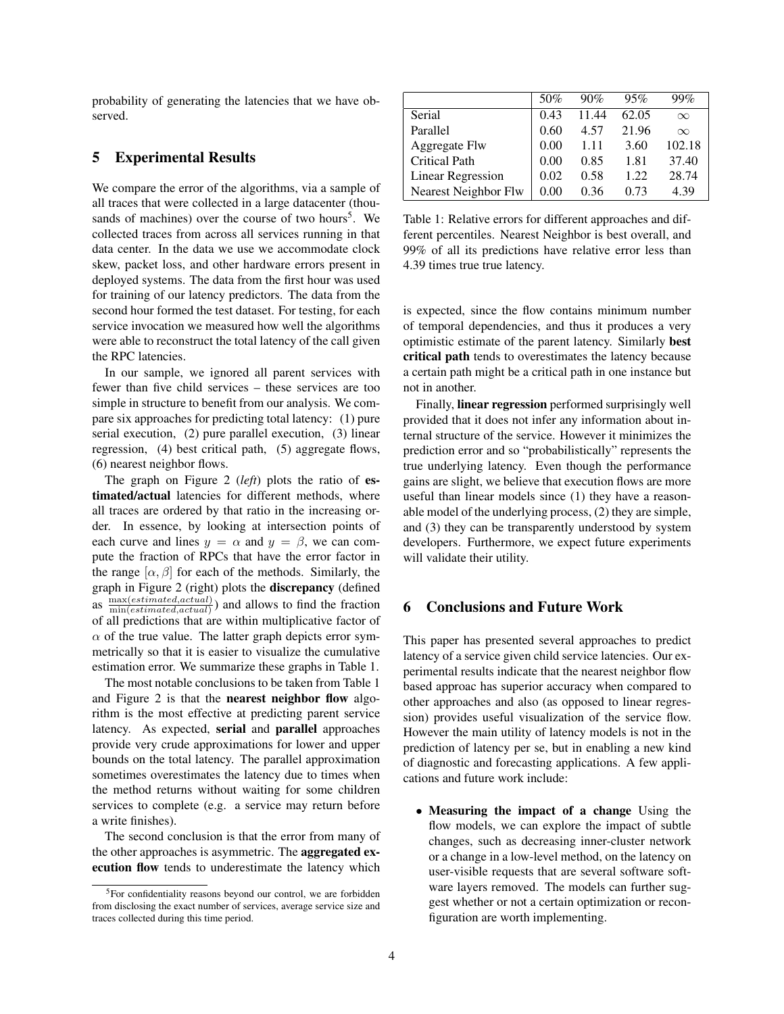probability of generating the latencies that we have observed.

### 5 Experimental Results

We compare the error of the algorithms, via a sample of all traces that were collected in a large datacenter (thousands of machines) over the course of two hours<sup>5</sup>. We collected traces from across all services running in that data center. In the data we use we accommodate clock skew, packet loss, and other hardware errors present in deployed systems. The data from the first hour was used for training of our latency predictors. The data from the second hour formed the test dataset. For testing, for each service invocation we measured how well the algorithms were able to reconstruct the total latency of the call given the RPC latencies.

In our sample, we ignored all parent services with fewer than five child services – these services are too simple in structure to benefit from our analysis. We compare six approaches for predicting total latency: (1) pure serial execution, (2) pure parallel execution, (3) linear regression, (4) best critical path, (5) aggregate flows, (6) nearest neighbor flows.

The graph on Figure 2 (*left*) plots the ratio of estimated/actual latencies for different methods, where all traces are ordered by that ratio in the increasing order. In essence, by looking at intersection points of each curve and lines  $y = \alpha$  and  $y = \beta$ , we can compute the fraction of RPCs that have the error factor in the range  $[\alpha, \beta]$  for each of the methods. Similarly, the graph in Figure 2 (right) plots the discrepancy (defined as  $\frac{\text{max}(estimated,actual)}{\text{min}(estimated,actual)}$  $\frac{\text{max}(estimated, actual)}{\text{min}(estimated, actual)}$  and allows to find the fraction of all predictions that are within multiplicative factor of  $\alpha$  of the true value. The latter graph depicts error symmetrically so that it is easier to visualize the cumulative estimation error. We summarize these graphs in Table 1.

The most notable conclusions to be taken from Table 1 and Figure 2 is that the nearest neighbor flow algorithm is the most effective at predicting parent service latency. As expected, serial and parallel approaches provide very crude approximations for lower and upper bounds on the total latency. The parallel approximation sometimes overestimates the latency due to times when the method returns without waiting for some children services to complete (e.g. a service may return before a write finishes).

The second conclusion is that the error from many of the other approaches is asymmetric. The aggregated execution flow tends to underestimate the latency which

|                      | 50%      | 90%   | 95%   | 99%      |
|----------------------|----------|-------|-------|----------|
| Serial               | 0.43     | 11.44 | 62.05 | $\infty$ |
| Parallel             | 0.60     | 4.57  | 21.96 | $\infty$ |
| Aggregate Flw        | 0.00     | 1.11  | 3.60  | 102.18   |
| <b>Critical Path</b> | 0.00     | 0.85  | 1.81  | 37.40    |
| Linear Regression    | 0.02     | 0.58  | 1.22. | 28.74    |
| Nearest Neighbor Flw | $0.00\,$ | 0.36  | 0.73  | 4.39     |

Table 1: Relative errors for different approaches and different percentiles. Nearest Neighbor is best overall, and 99% of all its predictions have relative error less than 4.39 times true true latency.

is expected, since the flow contains minimum number of temporal dependencies, and thus it produces a very optimistic estimate of the parent latency. Similarly best critical path tends to overestimates the latency because a certain path might be a critical path in one instance but not in another.

Finally, linear regression performed surprisingly well provided that it does not infer any information about internal structure of the service. However it minimizes the prediction error and so "probabilistically" represents the true underlying latency. Even though the performance gains are slight, we believe that execution flows are more useful than linear models since (1) they have a reasonable model of the underlying process, (2) they are simple, and (3) they can be transparently understood by system developers. Furthermore, we expect future experiments will validate their utility.

## 6 Conclusions and Future Work

This paper has presented several approaches to predict latency of a service given child service latencies. Our experimental results indicate that the nearest neighbor flow based approac has superior accuracy when compared to other approaches and also (as opposed to linear regression) provides useful visualization of the service flow. However the main utility of latency models is not in the prediction of latency per se, but in enabling a new kind of diagnostic and forecasting applications. A few applications and future work include:

• Measuring the impact of a change Using the flow models, we can explore the impact of subtle changes, such as decreasing inner-cluster network or a change in a low-level method, on the latency on user-visible requests that are several software software layers removed. The models can further suggest whether or not a certain optimization or reconfiguration are worth implementing.

<sup>5</sup>For confidentiality reasons beyond our control, we are forbidden from disclosing the exact number of services, average service size and traces collected during this time period.